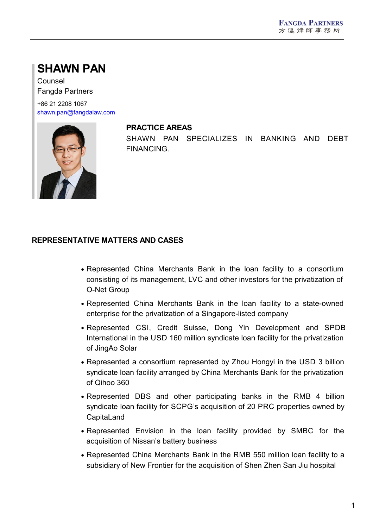# **SHAWN PAN**

Counsel Fangda Partners

+86 21 2208 1067 [shawn.pan@fangdalaw.com](mailto:shawn.pan@fangdalaw.com)



#### **PRACTICE AREAS**

SHAWN PAN SPECIALIZES IN BANKING AND DEBT FINANCING.

## **REPRESENTATIVE MATTERS AND CASES**

- Represented China Merchants Bank in the loan facility to a consortium consisting of its management, LVC and other investors for the privatization of O-Net Group
- Represented China Merchants Bank in the loan facility to a state-owned enterprise for the privatization of a Singapore-listed company
- Represented CSI, Credit Suisse, Dong Yin Development and SPDB International in the USD 160 million syndicate loan facility for the privatization of JingAo Solar
- Represented a consortium represented by Zhou Hongyi in the USD 3 billion syndicate loan facility arranged by China Merchants Bank for the privatization of Qihoo 360
- Represented DBS and other participating banks in the RMB 4 billion syndicate loan facility for SCPG's acquisition of 20 PRC properties owned by **CapitaLand**
- Represented Envision in the loan facility provided by SMBC for the acquisition of Nissan's battery business
- Represented China Merchants Bank in the RMB 550 million loan facility to a subsidiary of New Frontier for the acquisition of Shen Zhen San Jiu hospital